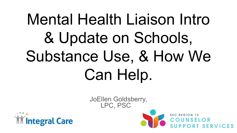# Mental Health Liaison Intro & Update on Schools, Substance Use, & How We Can Help.





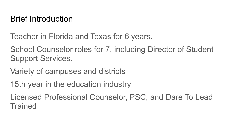## Brief Introduction

Teacher in Florida and Texas for 6 years.

School Counselor roles for 7, including Director of Student Support Services.

Variety of campuses and districts

15th year in the education industry

Licensed Professional Counselor, PSC, and Dare To Lead **Trained**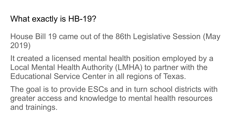### What exactly is HB-19?

House Bill 19 came out of the 86th Legislative Session (May 2019)

It created a licensed mental health position employed by a Local Mental Health Authority (LMHA) to partner with the Educational Service Center in all regions of Texas.

The goal is to provide ESCs and in turn school districts with greater access and knowledge to mental health resources and trainings.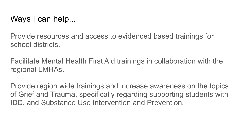Ways I can help...

Provide resources and access to evidenced based trainings for school districts.

Facilitate Mental Health First Aid trainings in collaboration with the regional LMHAs.

Provide region wide trainings and increase awareness on the topics of Grief and Trauma, specifically regarding supporting students with IDD, and Substance Use Intervention and Prevention.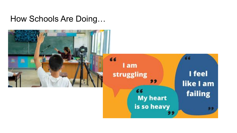How Schools Are Doing…

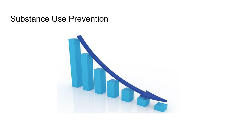#### Substance Use Prevention

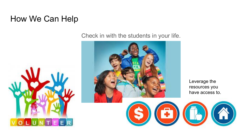#### How We Can Help



Check in with the students in your life.



 $\binom{4}{1}$